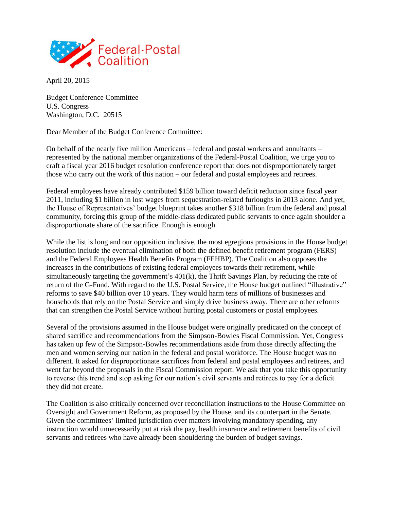

April 20, 2015

Budget Conference Committee U.S. Congress Washington, D.C. 20515

Dear Member of the Budget Conference Committee:

On behalf of the nearly five million Americans – federal and postal workers and annuitants – represented by the national member organizations of the Federal-Postal Coalition, we urge you to craft a fiscal year 2016 budget resolution conference report that does not disproportionately target those who carry out the work of this nation – our federal and postal employees and retirees.

Federal employees have already contributed \$159 billion toward deficit reduction since fiscal year 2011, including \$1 billion in lost wages from sequestration-related furloughs in 2013 alone. And yet, the House of Representatives' budget blueprint takes another \$318 billion from the federal and postal community, forcing this group of the middle-class dedicated public servants to once again shoulder a disproportionate share of the sacrifice. Enough is enough.

While the list is long and our opposition inclusive, the most egregious provisions in the House budget resolution include the eventual elimination of both the defined benefit retirement program (FERS) and the Federal Employees Health Benefits Program (FEHBP). The Coalition also opposes the increases in the contributions of existing federal employees towards their retirement, while simultaneously targeting the government's 401(k), the Thrift Savings Plan, by reducing the rate of return of the G-Fund. With regard to the U.S. Postal Service, the House budget outlined "illustrative" reforms to save \$40 billion over 10 years. They would harm tens of millions of businesses and households that rely on the Postal Service and simply drive business away. There are other reforms that can strengthen the Postal Service without hurting postal customers or postal employees.

Several of the provisions assumed in the House budget were originally predicated on the concept of shared sacrifice and recommendations from the Simpson-Bowles Fiscal Commission. Yet, Congress has taken up few of the Simpson-Bowles recommendations aside from those directly affecting the men and women serving our nation in the federal and postal workforce. The House budget was no different. It asked for disproportionate sacrifices from federal and postal employees and retirees, and went far beyond the proposals in the Fiscal Commission report. We ask that you take this opportunity to reverse this trend and stop asking for our nation's civil servants and retirees to pay for a deficit they did not create.

The Coalition is also critically concerned over reconciliation instructions to the House Committee on Oversight and Government Reform, as proposed by the House, and its counterpart in the Senate. Given the committees' limited jurisdiction over matters involving mandatory spending, any instruction would unnecessarily put at risk the pay, health insurance and retirement benefits of civil servants and retirees who have already been shouldering the burden of budget savings.